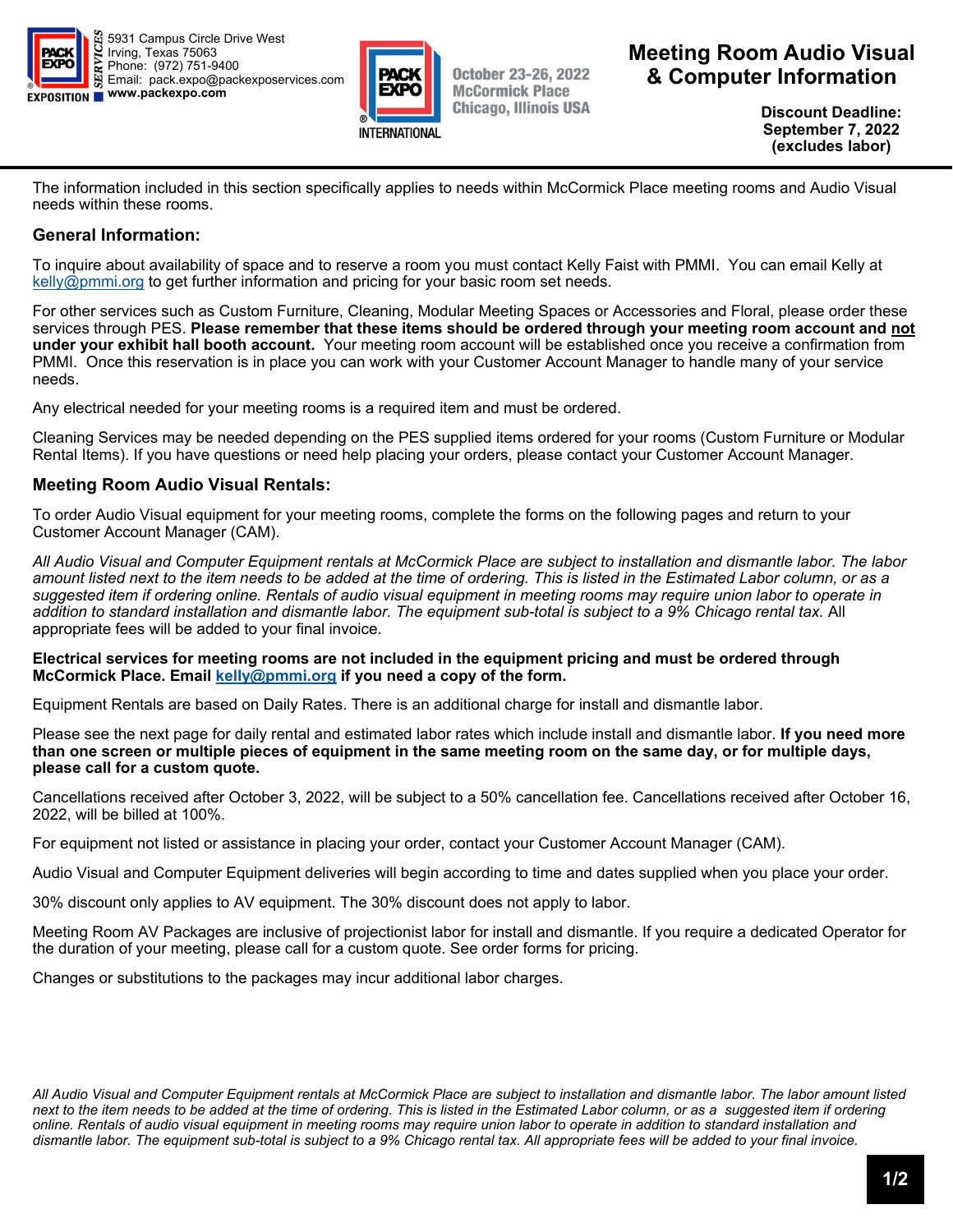



**October 23-26, 2022 McCormick Place Chicago, Illinois USA**  **Meeting Room Audio Visual & Computer Information** 

> **Discount Deadline: September 7, 2022 (excludes labor)**

The information included in this section specifically applies to needs within McCormick Place meeting rooms and Audio Visual needs within these rooms.

## **General Information:**

To inquire about availability of space and to reserve a room you must contact Kelly Faist with PMMI. You can email Kelly at kelly@pmmi.org to get further information and pricing for your basic room set needs.

For other services such as Custom Furniture, Cleaning, Modular Meeting Spaces or Accessories and Floral, please order these services through PES. **Please remember that these items should be ordered through your meeting room account and not under your exhibit hall booth account.** Your meeting room account will be established once you receive a confirmation from PMMI. Once this reservation is in place you can work with your Customer Account Manager to handle many of your service needs.

Any electrical needed for your meeting rooms is a required item and must be ordered.

Cleaning Services may be needed depending on the PES supplied items ordered for your rooms (Custom Furniture or Modular Rental Items). If you have questions or need help placing your orders, please contact your Customer Account Manager.

## **Meeting Room Audio Visual Rentals:**

To order Audio Visual equipment for your meeting rooms, complete the forms on the following pages and return to your Customer Account Manager (CAM).

*All Audio Visual and Computer Equipment rentals at McCormick Place are subject to installation and dismantle labor. The labor amount listed next to the item needs to be added at the time of ordering. This is listed in the Estimated Labor column, or as a suggested item if ordering online. Rentals of audio visual equipment in meeting rooms may require union labor to operate in addition to standard installation and dismantle labor. The equipment sub-total is subject to a 9% Chicago rental tax.* All appropriate fees will be added to your final invoice.

**Electrical services for meeting rooms are not included in the equipment pricing and must be ordered through**  McCormick Place. Email kelly@pmmi.org if you need a copy of the form.

Equipment Rentals are based on Daily Rates. There is an additional charge for install and dismantle labor.

Please see the next page for daily rental and estimated labor rates which include install and dismantle labor. **If you need more than one screen or multiple pieces of equipment in the same meeting room on the same day, or for multiple days, please call for a custom quote.**

Cancellations received after October 3, 2022, will be subject to a 50% cancellation fee. Cancellations received after October 16, 2022, will be billed at 100%.

For equipment not listed or assistance in placing your order, contact your Customer Account Manager (CAM).

Audio Visual and Computer Equipment deliveries will begin according to time and dates supplied when you place your order.

30% discount only applies to AV equipment. The 30% discount does not apply to labor.

Meeting Room AV Packages are inclusive of projectionist labor for install and dismantle. If you require a dedicated Operator for the duration of your meeting, please call for a custom quote. See order forms for pricing.

Changes or substitutions to the packages may incur additional labor charges.

*All Audio Visual and Computer Equipment rentals at McCormick Place are subject to installation and dismantle labor. The labor amount listed next to the item needs to be added at the time of ordering. This is listed in the Estimated Labor column, or as a suggested item if ordering online. Rentals of audio visual equipment in meeting rooms may require union labor to operate in addition to standard installation and dismantle labor. The equipment sub-total is subject to a 9% Chicago rental tax. All appropriate fees will be added to your final invoice.*